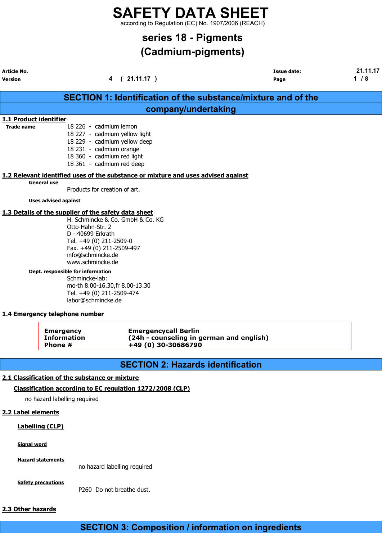according to Regulation (EC) No. 1907/2006 (REACH)

## series 18 - Pigments

## (Cadmium-pigments)

Article No. Issue date: 21.11.17

| Version                                                                                                                                                                                                                                                                                                                                                                                                           | 4                                                                                                                                                                             | (21.11.17)                                         | Page                                     | $1/8$ |  |  |  |
|-------------------------------------------------------------------------------------------------------------------------------------------------------------------------------------------------------------------------------------------------------------------------------------------------------------------------------------------------------------------------------------------------------------------|-------------------------------------------------------------------------------------------------------------------------------------------------------------------------------|----------------------------------------------------|------------------------------------------|-------|--|--|--|
|                                                                                                                                                                                                                                                                                                                                                                                                                   |                                                                                                                                                                               |                                                    |                                          |       |  |  |  |
| SECTION 1: Identification of the substance/mixture and of the<br>company/undertaking                                                                                                                                                                                                                                                                                                                              |                                                                                                                                                                               |                                                    |                                          |       |  |  |  |
| 1.1 Product identifier                                                                                                                                                                                                                                                                                                                                                                                            |                                                                                                                                                                               |                                                    |                                          |       |  |  |  |
| <b>Trade name</b>                                                                                                                                                                                                                                                                                                                                                                                                 | 18 226 - cadmium lemon<br>18 227 - cadmium yellow light<br>18 229 - cadmium yellow deep<br>18 231 - cadmium orange<br>18 360 - cadmium red light<br>18 361 - cadmium red deep |                                                    |                                          |       |  |  |  |
|                                                                                                                                                                                                                                                                                                                                                                                                                   | 1.2 Relevant identified uses of the substance or mixture and uses advised against                                                                                             |                                                    |                                          |       |  |  |  |
|                                                                                                                                                                                                                                                                                                                                                                                                                   | <b>General use</b><br>Products for creation of art.                                                                                                                           |                                                    |                                          |       |  |  |  |
|                                                                                                                                                                                                                                                                                                                                                                                                                   | <b>Uses advised against</b>                                                                                                                                                   |                                                    |                                          |       |  |  |  |
| 1.3 Details of the supplier of the safety data sheet<br>H. Schmincke & Co. GmbH & Co. KG<br>Otto-Hahn-Str. 2<br>D - 40699 Erkrath<br>Tel. +49 (0) 211-2509-0<br>Fax. +49 (0) 211-2509-497<br>info@schmincke.de<br>www.schmincke.de<br>Dept. responsible for information<br>Schmincke-lab:<br>mo-th 8.00-16.30, fr 8.00-13.30<br>Tel. +49 (0) 211-2509-474<br>labor@schmincke.de<br>1.4 Emergency telephone number |                                                                                                                                                                               |                                                    |                                          |       |  |  |  |
|                                                                                                                                                                                                                                                                                                                                                                                                                   | <b>Emergency</b><br><b>Information</b><br>Phone #                                                                                                                             | <b>Emergencycall Berlin</b><br>+49 (0) 30-30686790 | (24h - counseling in german and english) |       |  |  |  |
|                                                                                                                                                                                                                                                                                                                                                                                                                   |                                                                                                                                                                               |                                                    | <b>SECTION 2: Hazards identification</b> |       |  |  |  |
|                                                                                                                                                                                                                                                                                                                                                                                                                   | 2.1 Classification of the substance or mixture                                                                                                                                |                                                    |                                          |       |  |  |  |
|                                                                                                                                                                                                                                                                                                                                                                                                                   | Classification according to EC regulation 1272/2008 (CLP)                                                                                                                     |                                                    |                                          |       |  |  |  |
|                                                                                                                                                                                                                                                                                                                                                                                                                   | no hazard labelling required                                                                                                                                                  |                                                    |                                          |       |  |  |  |
| 2.2 Label elements                                                                                                                                                                                                                                                                                                                                                                                                |                                                                                                                                                                               |                                                    |                                          |       |  |  |  |
|                                                                                                                                                                                                                                                                                                                                                                                                                   | <b>Labelling (CLP)</b>                                                                                                                                                        |                                                    |                                          |       |  |  |  |
| <b>Signal word</b>                                                                                                                                                                                                                                                                                                                                                                                                |                                                                                                                                                                               |                                                    |                                          |       |  |  |  |
|                                                                                                                                                                                                                                                                                                                                                                                                                   | <b>Hazard statements</b>                                                                                                                                                      | no hazard labelling required                       |                                          |       |  |  |  |
|                                                                                                                                                                                                                                                                                                                                                                                                                   | <b>Safety precautions</b>                                                                                                                                                     | P260 Do not breathe dust.                          |                                          |       |  |  |  |
| 2.3 Other hazards                                                                                                                                                                                                                                                                                                                                                                                                 |                                                                                                                                                                               |                                                    |                                          |       |  |  |  |

## SECTION 3: Composition / information on ingredients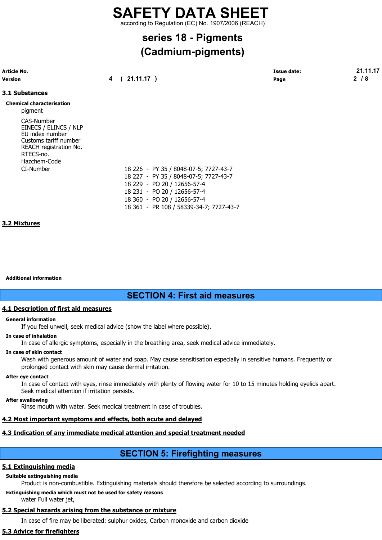according to Regulation (EC) No. 1907/2006 (REACH)

# series 18 - Pigments

## (Cadmium-pigments)

| <b>Article No.</b>                                                                                                     |                   | <b>Issue date:</b> | 21.11.17 |  |
|------------------------------------------------------------------------------------------------------------------------|-------------------|--------------------|----------|--|
| Version                                                                                                                | $21.11.17$ )<br>4 | Page               | $2/8$    |  |
| 3.1 Substances                                                                                                         |                   |                    |          |  |
| <b>Chemical characterisation</b><br>pigment                                                                            |                   |                    |          |  |
| CAS-Number<br>EINECS / ELINCS / NLP<br>EU index number<br>Customs tariff number<br>REACH registration No.<br>RTECS-no. |                   |                    |          |  |

CI-Number 18 226 - PY 35 / 8048-07-5; 7727-43-7 18 227 - PY 35 / 8048-07-5; 7727-43-7 18 229 - PO 20 / 12656-57-4 18 231 - PO 20 / 12656-57-4 18 360 - PO 20 / 12656-57-4 18 361 - PR 108 / 58339-34-7; 7727-43-7

### 3.2 Mixtures

Additional information

Hazchem-Code

## SECTION 4: First aid measures

### 4.1 Description of first aid measures

### General information

If you feel unwell, seek medical advice (show the label where possible).

### In case of inhalation

In case of allergic symptoms, especially in the breathing area, seek medical advice immediately.

### In case of skin contact

Wash with generous amount of water and soap. May cause sensitisation especially in sensitive humans. Frequently or prolonged contact with skin may cause dermal irritation.

### After eye contact

In case of contact with eyes, rinse immediately with plenty of flowing water for 10 to 15 minutes holding eyelids apart. Seek medical attention if irritation persists.

### After swallowing

Rinse mouth with water. Seek medical treatment in case of troubles.

### 4.2 Most important symptoms and effects, both acute and delayed

### 4.3 Indication of any immediate medical attention and special treatment needed

## SECTION 5: Firefighting measures

### 5.1 Extinguishing media

### Suitable extinguishing media

Product is non-combustible. Extinguishing materials should therefore be selected according to surroundings.

## Extinguishing media which must not be used for safety reasons

### water Full water jet,

### 5.2 Special hazards arising from the substance or mixture

In case of fire may be liberated: sulphur oxides, Carbon monoxide and carbon dioxide

### 5.3 Advice for firefighters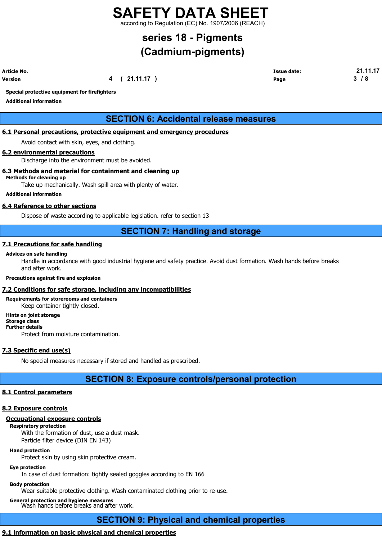according to Regulation (EC) No. 1907/2006 (REACH)

## series 18 - Pigments

## (Cadmium-pigments)

| Article No. |             | <b>Issue date:</b> | 21.11.17 |
|-------------|-------------|--------------------|----------|
| Version     | 4 (21.11.17 | Page               | 3/8      |

### Special protective equipment for firefighters

Additional information

## SECTION 6: Accidental release measures

### 6.1 Personal precautions, protective equipment and emergency procedures

Avoid contact with skin, eyes, and clothing.

### 6.2 environmental precautions

Discharge into the environment must be avoided.

### 6.3 Methods and material for containment and cleaning up

Methods for cleaning up Take up mechanically. Wash spill area with plenty of water.

### Additional information

### 6.4 Reference to other sections

Dispose of waste according to applicable legislation. refer to section 13

## SECTION 7: Handling and storage

### 7.1 Precautions for safe handling

### Advices on safe handling

Handle in accordance with good industrial hygiene and safety practice. Avoid dust formation. Wash hands before breaks and after work.

### Precautions against fire and explosion

### 7.2 Conditions for safe storage, including any incompatibilities

Requirements for storerooms and containers Keep container tightly closed. Hints on joint storage

Storage class Further details Protect from moisture contamination.

### 7.3 Specific end use(s)

No special measures necessary if stored and handled as prescribed.

### SECTION 8: Exposure controls/personal protection

### 8.1 Control parameters

### 8.2 Exposure controls

### Occupational exposure controls

Respiratory protection

With the formation of dust, use a dust mask. Particle filter device (DIN EN 143)

### Hand protection

Protect skin by using skin protective cream.

## Eye protection

In case of dust formation: tightly sealed goggles according to EN 166

### Body protection

Wear suitable protective clothing. Wash contaminated clothing prior to re-use.

## General protection and hygiene measures Wash hands before breaks and after work.

## SECTION 9: Physical and chemical properties

## 9.1 information on basic physical and chemical properties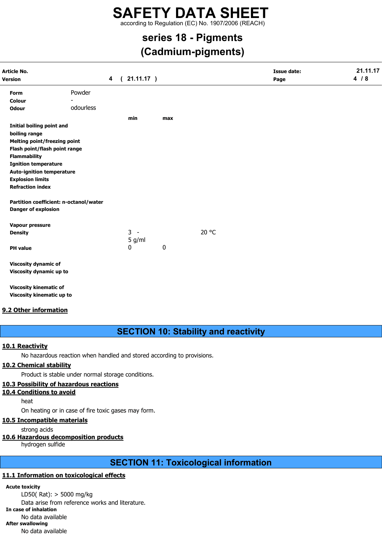according to Regulation (EC) No. 1907/2006 (REACH)

# series 18 - Pigments

## (Cadmium-pigments)

| Article No.<br>Version              |                                        | $\overline{\mathbf{4}}$ | $\overline{ }$ | 21.11.17) |     |       | <b>Issue date:</b><br>Page | 21.11.17<br>4/8 |
|-------------------------------------|----------------------------------------|-------------------------|----------------|-----------|-----|-------|----------------------------|-----------------|
| Form                                | Powder                                 |                         |                |           |     |       |                            |                 |
| <b>Colour</b>                       |                                        |                         |                |           |     |       |                            |                 |
| <b>Odour</b>                        | odourless                              |                         |                |           |     |       |                            |                 |
|                                     |                                        |                         |                | min       | max |       |                            |                 |
| <b>Initial boiling point and</b>    |                                        |                         |                |           |     |       |                            |                 |
| boiling range                       |                                        |                         |                |           |     |       |                            |                 |
| <b>Melting point/freezing point</b> |                                        |                         |                |           |     |       |                            |                 |
| Flash point/flash point range       |                                        |                         |                |           |     |       |                            |                 |
| <b>Flammability</b>                 |                                        |                         |                |           |     |       |                            |                 |
| <b>Ignition temperature</b>         |                                        |                         |                |           |     |       |                            |                 |
| <b>Auto-ignition temperature</b>    |                                        |                         |                |           |     |       |                            |                 |
| <b>Explosion limits</b>             |                                        |                         |                |           |     |       |                            |                 |
| <b>Refraction index</b>             |                                        |                         |                |           |     |       |                            |                 |
|                                     | Partition coefficient: n-octanol/water |                         |                |           |     |       |                            |                 |
| <b>Danger of explosion</b>          |                                        |                         |                |           |     |       |                            |                 |
| Vapour pressure                     |                                        |                         |                |           |     |       |                            |                 |
| <b>Density</b>                      |                                        |                         |                | $3 -$     |     | 20 °C |                            |                 |
|                                     |                                        |                         |                | 5 g/ml    |     |       |                            |                 |
| <b>PH</b> value                     |                                        |                         |                | 0         | 0   |       |                            |                 |
| <b>Viscosity dynamic of</b>         |                                        |                         |                |           |     |       |                            |                 |
| Viscosity dynamic up to             |                                        |                         |                |           |     |       |                            |                 |
| <b>Viscosity kinematic of</b>       |                                        |                         |                |           |     |       |                            |                 |
| Viscosity kinematic up to           |                                        |                         |                |           |     |       |                            |                 |

### 9.2 Other information

## SECTION 10: Stability and reactivity

### 10.1 Reactivity

No hazardous reaction when handled and stored according to provisions.

### 10.2 Chemical stability

Product is stable under normal storage conditions.

### 10.3 Possibility of hazardous reactions

### 10.4 Conditions to avoid

heat

On heating or in case of fire toxic gases may form.

### 10.5 Incompatible materials

strong acids

### 10.6 Hazardous decomposition products

hydrogen sulfide

## SECTION 11: Toxicological information

### 11.1 Information on toxicological effects

Acute toxicity LD50( Rat): > 5000 mg/kg Data arise from reference works and literature. In case of inhalation No data available After swallowing No data available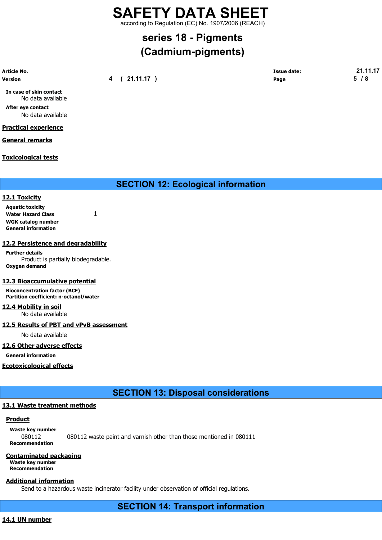according to Regulation (EC) No. 1907/2006 (REACH)

# series 18 - Pigments

## (Cadmium-pigments)

| <b>Article No.</b> |          | <b>Issue date:</b> | $AA$ $A7$<br>- 54  |
|--------------------|----------|--------------------|--------------------|
| <b>Version</b>     | 21.11.17 | Page               | <i>E</i> 10<br>. ه |
|                    |          |                    |                    |

In case of skin contact No data available

After eye contact

No data available

### Practical experience

### General remarks

### Toxicological tests

SECTION 12: Ecological information

### 12.1 Toxicity

| <b>Aquatic toxicity</b>    |  |
|----------------------------|--|
| <b>Water Hazard Class</b>  |  |
| <b>WGK catalog number</b>  |  |
| <b>General information</b> |  |

### 12.2 Persistence and degradability

Further details Product is partially biodegradable. Oxygen demand

### 12.3 Bioaccumulative potential

Bioconcentration factor (BCF) Partition coefficient: n-octanol/water

### 12.4 Mobility in soil

No data available

### 12.5 Results of PBT and vPvB assessment

No data available

### 12.6 Other adverse effects

General information

Ecotoxicological effects

SECTION 13: Disposal considerations

### 13.1 Waste treatment methods

### **Product**

Waste key number 080112 080112 waste paint and varnish other than those mentioned in 080111 Recommendation

### Contaminated packaging

Waste key number Recommendation

### Additional information

Send to a hazardous waste incinerator facility under observation of official regulations.

SECTION 14: Transport information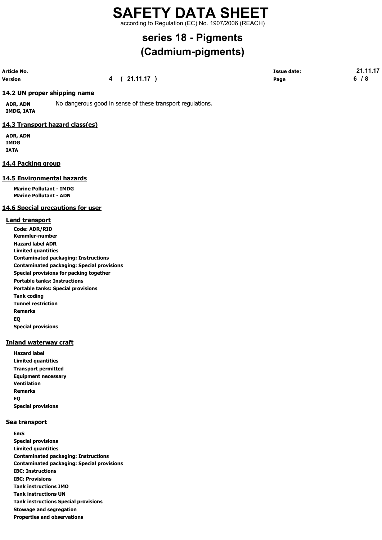according to Regulation (EC) No. 1907/2006 (REACH)

# series 18 - Pigments

## (Cadmium-pigments)

| Article No. |             | <b>Issue date:</b> | 21.11.17 |
|-------------|-------------|--------------------|----------|
| Version     | 4 (21.11.17 | Page               | 6/8      |

### 14.2 UN proper shipping name

ADR, ADN No dangerous good in sense of these transport regulations. IMDG, IATA

### 14.3 Transport hazard class(es)

ADR, ADN IMDG IATA

### 14.4 Packing group

### 14.5 Environmental hazards

Marine Pollutant - IMDG Marine Pollutant - ADN

### 14.6 Special precautions for user

### Land transport

Code: ADR/RID Kemmler-number Hazard label ADR Limited quantities Contaminated packaging: Instructions Contaminated packaging: Special provisions Special provisions for packing together Portable tanks: Instructions Portable tanks: Special provisions Tank coding Tunnel restriction Remarks EQ Special provisions

### Inland waterway craft

Hazard label Limited quantities Transport permitted Equipment necessary Ventilation Remarks EQ Special provisions

### Sea transport

EmS Special provisions Limited quantities Contaminated packaging: Instructions Contaminated packaging: Special provisions IBC: Instructions IBC: Provisions Tank instructions IMO Tank instructions UN Tank instructions Special provisions Stowage and segregation Properties and observations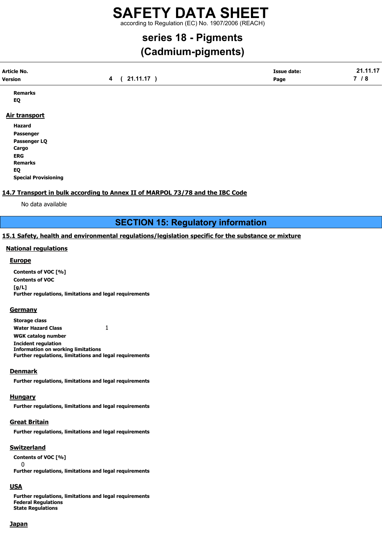according to Regulation (EC) No. 1907/2006 (REACH)

# series 18 - Pigments

## (Cadmium-pigments)

| <b>Article No.</b> |                           | Issue date: | . |
|--------------------|---------------------------|-------------|---|
| <b>Version</b>     | 44 47<br>- 74<br><u>.</u> | Page        | - |
|                    |                           |             |   |

Remarks EQ

### Air transport

Hazard Passenger Passenger LQ Cargo ERG Remarks EQ Special Provisioning

### 14.7 Transport in bulk according to Annex II of MARPOL 73/78 and the IBC Code

No data available

SECTION 15: Regulatory information

### 15.1 Safety, health and environmental regulations/legislation specific for the substance or mixture

### National regulations

### **Europe**

Contents of VOC [%] Contents of VOC [g/L] Further regulations, limitations and legal requirements

### **Germany**

Storage class Water Hazard Class 1 WGK catalog number Incident regulation Information on working limitations Further regulations, limitations and legal requirements

### **Denmark**

Further regulations, limitations and legal requirements

### Hungary

Further regulations, limitations and legal requirements

### Great Britain

Further regulations, limitations and legal requirements

### Switzerland

Contents of VOC [%] 0 Further regulations, limitations and legal requirements

### **USA**

Further regulations, limitations and legal requirements Federal Regulations State Regulations